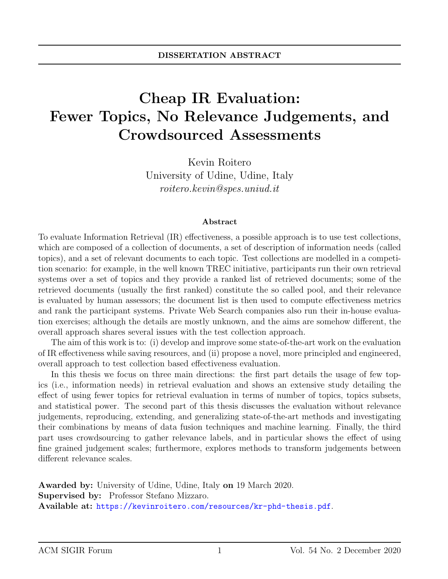## Cheap IR Evaluation: Fewer Topics, No Relevance Judgements, and Crowdsourced Assessments

Kevin Roitero University of Udine, Udine, Italy roitero.kevin@spes.uniud.it

## Abstract

To evaluate Information Retrieval (IR) effectiveness, a possible approach is to use test collections, which are composed of a collection of documents, a set of description of information needs (called topics), and a set of relevant documents to each topic. Test collections are modelled in a competition scenario: for example, in the well known TREC initiative, participants run their own retrieval systems over a set of topics and they provide a ranked list of retrieved documents; some of the retrieved documents (usually the first ranked) constitute the so called pool, and their relevance is evaluated by human assessors; the document list is then used to compute effectiveness metrics and rank the participant systems. Private Web Search companies also run their in-house evaluation exercises; although the details are mostly unknown, and the aims are somehow different, the overall approach shares several issues with the test collection approach.

The aim of this work is to: (i) develop and improve some state-of-the-art work on the evaluation of IR effectiveness while saving resources, and (ii) propose a novel, more principled and engineered, overall approach to test collection based effectiveness evaluation.

In this thesis we focus on three main directions: the first part details the usage of few topics (i.e., information needs) in retrieval evaluation and shows an extensive study detailing the effect of using fewer topics for retrieval evaluation in terms of number of topics, topics subsets, and statistical power. The second part of this thesis discusses the evaluation without relevance judgements, reproducing, extending, and generalizing state-of-the-art methods and investigating their combinations by means of data fusion techniques and machine learning. Finally, the third part uses crowdsourcing to gather relevance labels, and in particular shows the effect of using fine grained judgement scales; furthermore, explores methods to transform judgements between different relevance scales.

Awarded by: University of Udine, Udine, Italy on 19 March 2020. Supervised by: Professor Stefano Mizzaro. Available at: <https://kevinroitero.com/resources/kr-phd-thesis.pdf>.